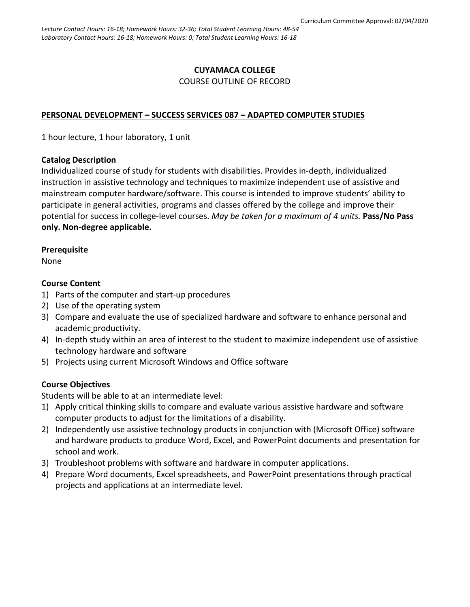# **CUYAMACA COLLEGE**

#### COURSE OUTLINE OF RECORD

### **PERSONAL DEVELOPMENT – SUCCESS SERVICES 087 – ADAPTED COMPUTER STUDIES**

1 hour lecture, 1 hour laboratory, 1 unit

### **Catalog Description**

Individualized course of study for students with disabilities. Provides in-depth, individualized instruction in assistive technology and techniques to maximize independent use of assistive and mainstream computer hardware/software. This course is intended to improve students' ability to participate in general activities, programs and classes offered by the college and improve their potential for success in college-level courses. *May be taken for a maximum of 4 units.* **Pass/No Pass only. Non-degree applicable.**

### **Prerequisite**

None

### **Course Content**

- 1) Parts of the computer and start-up procedures
- 2) Use of the operating system
- 3) Compare and evaluate the use of specialized hardware and software to enhance personal and academic productivity.
- 4) In-depth study within an area of interest to the student to maximize independent use of assistive technology hardware and software
- 5) Projects using current Microsoft Windows and Office software

### **Course Objectives**

Students will be able to at an intermediate level:

- 1) Apply critical thinking skills to compare and evaluate various assistive hardware and software computer products to adjust for the limitations of a disability.
- 2) Independently use assistive technology products in conjunction with (Microsoft Office) software and hardware products to produce Word, Excel, and PowerPoint documents and presentation for school and work.
- 3) Troubleshoot problems with software and hardware in computer applications.
- 4) Prepare Word documents, Excel spreadsheets, and PowerPoint presentations through practical projects and applications at an intermediate level.